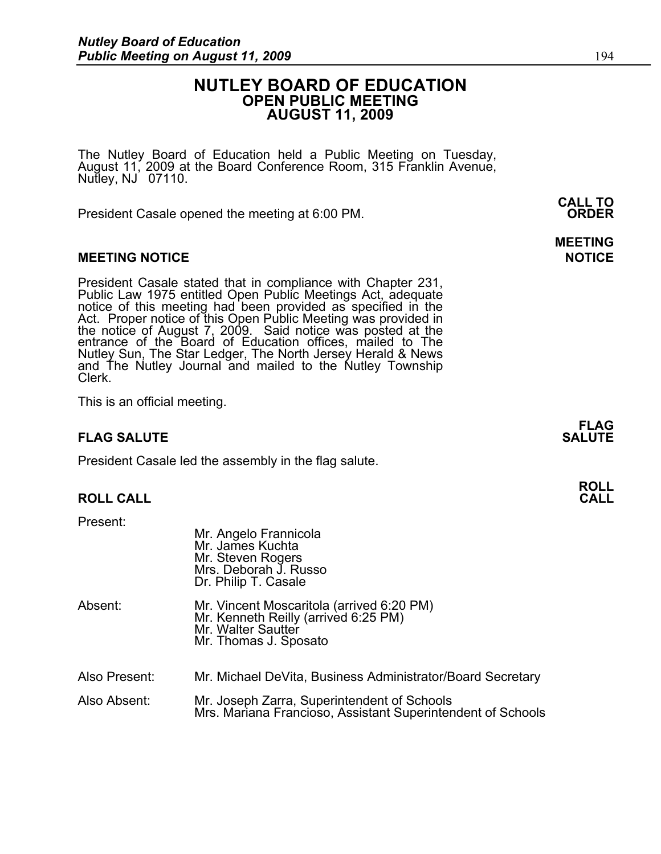# **NUTLEY BOARD OF EDUCATION OPEN PUBLIC MEETING AUGUST 11, 2009**

The Nutley Board of Education held a Public Meeting on Tuesday, August 11, 2009 at the Board Conference Room, 315 Franklin Avenue, Nutley, NJ 07110.

 **CALL TO**  President Casale opened the meeting at 6:00 PM. **ORDER**

## **MEETING NOTICE NOTICE REPORTS AND ALCOHOL**

President Casale stated that in compliance with Chapter 231, Public Law 1975 entitled Open Public Meetings Act, adequate notice of this meeting had been provided as specified in the Act. Proper notice of this Open Public Meeting was provided in the notice of August 7, 2009. Said notice was posted at the entrance of the Board of Education offices, mailed to The Nutley Sun, The Star Ledger, The North Jersey Herald & News and The Nutley Journal and mailed to the Nutley Township Clerk.

This is an official meeting.

# **FLAG SALUTE** SALUTE SALUTE SALUTE SALUTE SALUTE SALUTE SALUTE SALUTE SALUTE SALUTE SALUTE SALUTE SALUTE SALUTE SALUTE

President Casale led the assembly in the flag salute.

# **ROLL CALL**

Present:

|               | Mr. Angelo Frannicola<br>Mr. James Kuchta<br>Mr. Steven Rogers<br>Mrs. Deborah J. Russo<br>Dr. Philip T. Casale                  |
|---------------|----------------------------------------------------------------------------------------------------------------------------------|
| Absent:       | Mr. Vincent Moscaritola (arrived 6:20 PM)<br>Mr. Kenneth Reilly (arrived 6:25 PM)<br>Mr. Walter Sautter<br>Mr. Thomas J. Sposato |
| Also Present: | Mr. Michael DeVita, Business Administrator/Board Secretary                                                                       |
| Also Absent:  | Mr. Joseph Zarra, Superintendent of Schools<br>Mrs. Mariana Francioso, Assistant Superintendent of Schools                       |

# **MEETING**

**FLAG**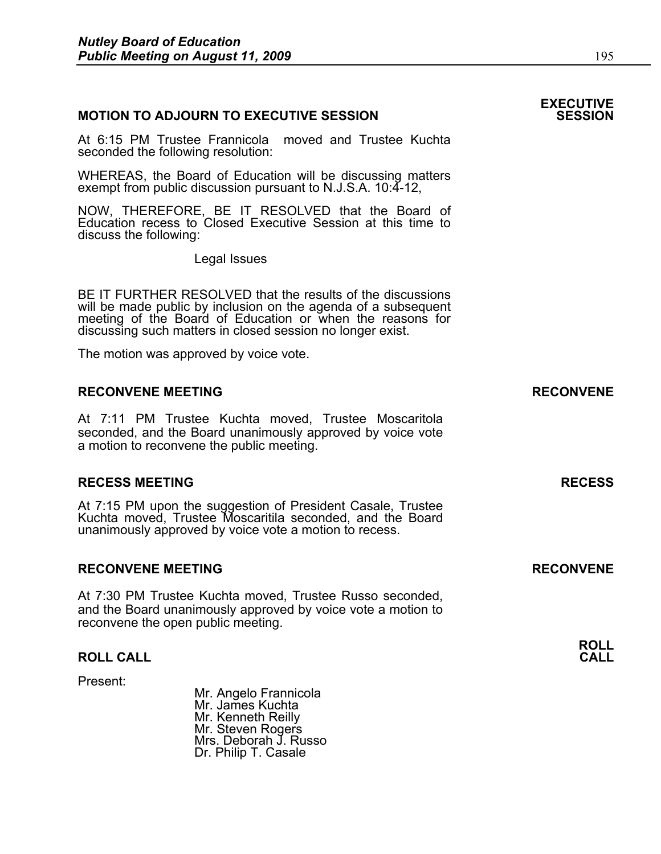### **MOTION TO ADJOURN TO EXECUTIVE SESSION**

At 6:15 PM Trustee Frannicola moved and Trustee Kuchta seconded the following resolution:

WHEREAS, the Board of Education will be discussing matters exempt from public discussion pursuant to N.J.S.A. 10:4-12,

NOW, THEREFORE, BE IT RESOLVED that the Board of Education recess to Closed Executive Session at this time to discuss the following:

Legal Issues

BE IT FURTHER RESOLVED that the results of the discussions will be made public by inclusion on the agenda of a subsequent meeting of the Board of Education or when the reasons for discussing such matters in closed session no longer exist.

 The motion was approved by voice vote.

### **RECONVENE MEETING RECONVENE**

At 7:11 PM Trustee Kuchta moved, Trustee Moscaritola seconded, and the Board unanimously approved by voice vote a motion to reconvene the public meeting.

### **RECESS MEETING RECESS**

At 7:15 PM upon the suggestion of President Casale, Trustee Kuchta moved, Trustee Moscaritila seconded, and the Board unanimously approved by voice vote a motion to recess.

### **RECONVENE MEETING RECONVENE**

At 7:30 PM Trustee Kuchta moved, Trustee Russo seconded, and the Board unanimously approved by voice vote a motion to reconvene the open public meeting.

## **ROLL CALL**

Present:

 Mr. Angelo Frannicola Mr. James Kuchta Mr. Kenneth Reilly Mr. Steven Rogers Mrs. Deborah J. Russo Dr. Philip T. Casale

**ROLL** 

# **EXECUTIVE**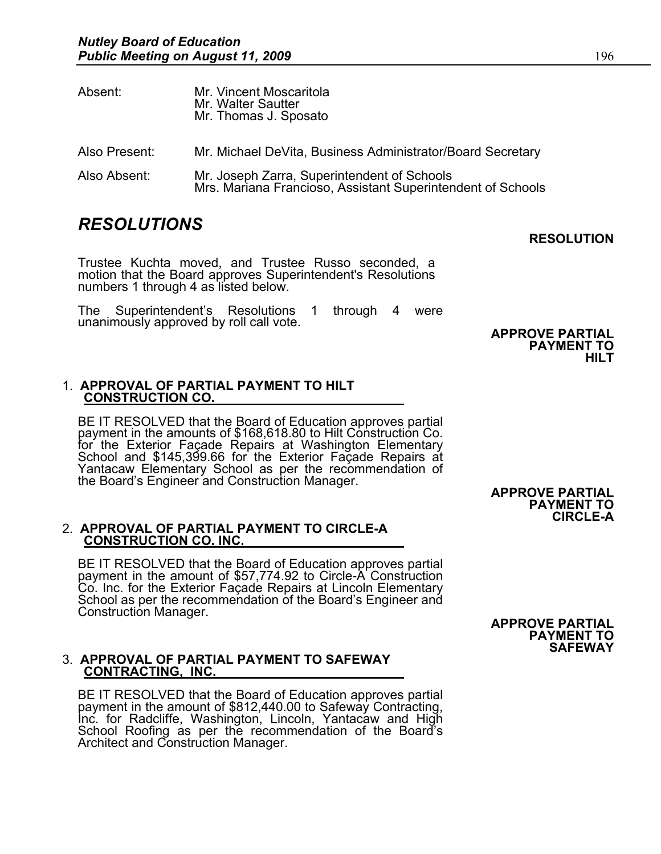| Absent:       | Mr. Vincent Moscaritola<br>Mr. Walter Sautter<br>Mr. Thomas J. Sposato                                     |
|---------------|------------------------------------------------------------------------------------------------------------|
| Also Present: | Mr. Michael DeVita, Business Administrator/Board Secretary                                                 |
| Also Absent:  | Mr. Joseph Zarra, Superintendent of Schools<br>Mrs. Mariana Francioso, Assistant Superintendent of Schools |

# *RESOLUTIONS*

Trustee Kuchta moved, and Trustee Russo seconded, a motion that the Board approves Superintendent's Resolutions numbers 1 through 4 as listed below.

The Superintendent's Resolutions 1 through 4 were unanimously approved by roll call vote. **APPROVE PARTIAL** 

**PAYMENT TO HILT** 

**RESOLUTION** 

# 1. **APPROVAL OF PARTIAL PAYMENT TO HILT CONSTRUCTION CO.**

BE IT RESOLVED that the Board of Education approves partial payment in the amounts of \$168,618.80 to Hilt Construction Co. for the Exterior Façade Repairs at Washington Elementary School and \$145,399.66 for the Exterior Façade Repairs at Yantacaw Elementary School as per the recommendation of the Board's Engineer and Construction Manager. **APPROVE PARTIAL** 

# 2. **APPROVAL OF PARTIAL PAYMENT TO CIRCLE-A CONSTRUCTION CO. INC.**

BE IT RESOLVED that the Board of Education approves partial payment in the amount of \$57,774.92 to Circle-A Construction Co. Inc. for the Exterior Façade Repairs at Lincoln Elementary School as per the recommendation of the Board's Engineer and Construction Manager. **APPROVE PARTIAL** 

# 3. **APPROVAL OF PARTIAL PAYMENT TO SAFEWAY CONTRACTING, INC.**

BE IT RESOLVED that the Board of Education approves partial payment in the amount of \$812,440.00 to Safeway Contracting, Inc. for Radcliffe, Washington, Lincoln, Yantacaw and High School Roofing as per the recommendation of the Board's Architect and Construction Manager.

**PAYMENT TO SAFEWAY** 

**PAYMENT TO CIRCLE-A**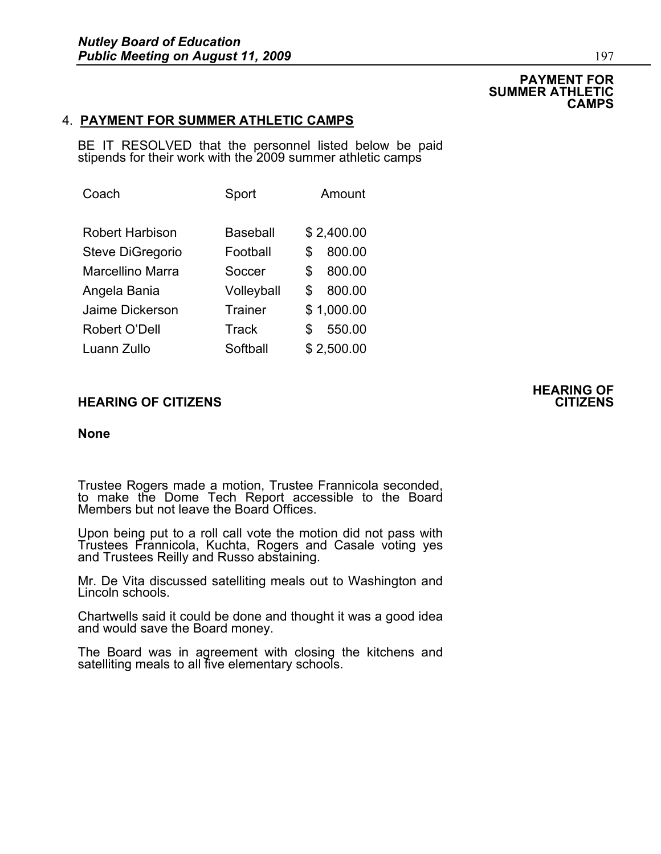### **PAYMENT FOR SUMMER ATHLETIC CAMPS**

# 4. **PAYMENT FOR SUMMER ATHLETIC CAMPS**

BE IT RESOLVED that the personnel listed below be paid stipends for their work with the 2009 summer athletic camps

| Coach            | Sport          | Amount       |
|------------------|----------------|--------------|
| Robert Harbison  | Baseball       | \$2,400.00   |
| Steve DiGregorio | Football       | 800.00<br>S  |
| Marcellino Marra | Soccer         | 800.00<br>\$ |
| Angela Bania     | Volleyball     | 800.00<br>\$ |
| Jaime Dickerson  | <b>Trainer</b> | \$1,000.00   |
| Robert O'Dell    | Track          | 550.00<br>S  |
| Luann Zullo      | Softball       | \$2,500.00   |

# **HEARING OF CITIZENS CITIZENS**

# **None**

Trustee Rogers made a motion, Trustee Frannicola seconded, to make the Dome Tech Report accessible to the Board Members but not leave the Board Offices.

Upon being put to a roll call vote the motion did not pass with Trustees Frannicola, Kuchta, Rogers and Casale voting yes and Trustees Reilly and Russo abstaining.

Mr. De Vita discussed satelliting meals out to Washington and Lincoln schools.

Chartwells said it could be done and thought it was a good idea and would save the Board money.

The Board was in agreement with closing the kitchens and satelliting meals to all five elementary schools.

# **HEARING OF**